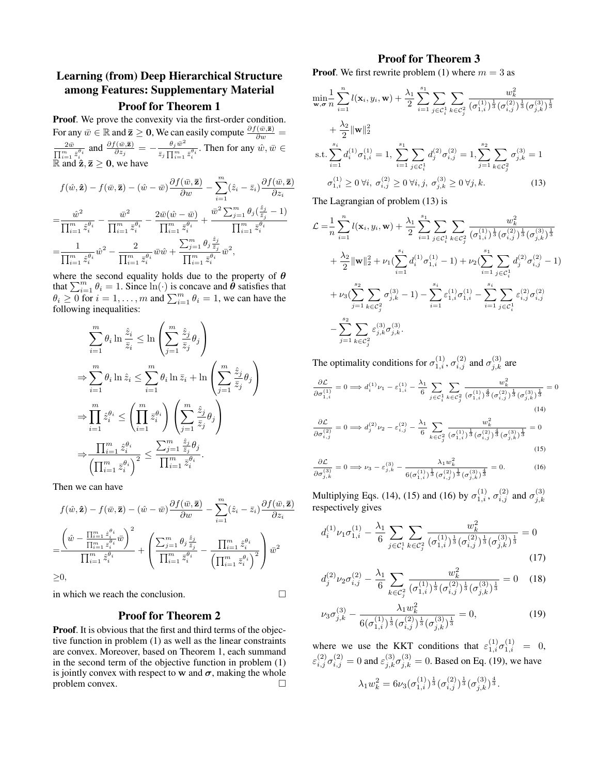# Learning (from) Deep Hierarchical Structure among Features: Supplementary Material

## Proof for Theorem 1

Proof. We prove the convexity via the first-order condition. For any  $\bar{w} \in \mathbb{R}$  and  $\bar{z} \ge 0$ , We can easily compute  $\frac{\partial f(\bar{w}, \bar{z})}{\partial w} =$  $2\bar{w}$  $\frac{2\bar{w}}{\prod_{i=1}^m\bar{z}_i^{\theta_i}}$  and  $\frac{\partial f(\bar{w},\bar{\mathbf{z}})}{\partial z_j}=-\frac{\theta_j\bar{w}^2}{\bar{z}_j\prod_{i=1}^m\bar{z}_i}$  $\frac{\theta_j w}{\bar{z}_j \prod_{i=1}^m \bar{z}_i^{\theta_i}}$ . Then for any  $\hat{w}, \bar{w} \in$  $\mathbb{R}$  and  $\mathbf{\hat{z}}, \mathbf{z} \geq 0$ , we have

$$
f(\hat{w}, \hat{\mathbf{z}}) - f(\bar{w}, \bar{\mathbf{z}}) - (\hat{w} - \bar{w}) \frac{\partial f(\bar{w}, \bar{\mathbf{z}})}{\partial w} - \sum_{i=1}^{m} (\hat{z}_i - \bar{z}_i) \frac{\partial f(\bar{w}, \bar{\mathbf{z}})}{\partial z_i}
$$
  

$$
= \frac{\hat{w}^2}{\prod_{i=1}^{m} \hat{z}_i^{\theta_i}} - \frac{\bar{w}^2}{\prod_{i=1}^{m} \bar{z}_i^{\theta_i}} - \frac{2\bar{w}(\hat{w} - \bar{w})}{\prod_{i=1}^{m} \bar{z}_i^{\theta_i}} + \frac{\bar{w}^2 \sum_{j=1}^{m} \theta_j (\frac{\hat{z}_j}{\bar{z}_j} - 1)}{\prod_{i=1}^{m} \bar{z}_i^{\theta_i}}
$$
  

$$
= \frac{1}{\prod_{i=1}^{m} \hat{z}_i^{\theta_i}} \hat{w}^2 - \frac{2}{\prod_{i=1}^{m} \bar{z}_i^{\theta_i}} \bar{w}\hat{w} + \frac{\sum_{j=1}^{m} \theta_j \frac{\hat{z}_j}{\bar{z}_j}}{\prod_{i=1}^{m} \bar{z}_i^{\theta_i}} \bar{w}^2,
$$

where the second equality holds due to the property of  $\theta$ that  $\sum_{i=1}^{m} \theta_i = 1$ . Since  $\ln(\cdot)$  is concave and  $\theta$  satisfies that  $\theta_i \geq 0$  for  $i = 1, ..., m$  and  $\sum_{i=1}^{m} \theta_i = 1$ , we can have the following inequalities:

$$
\sum_{i=1}^{m} \theta_i \ln \frac{\hat{z}_i}{\bar{z}_i} \le \ln \left( \sum_{j=1}^{m} \frac{\hat{z}_j}{\bar{z}_j} \theta_j \right)
$$
  
\n
$$
\Rightarrow \sum_{i=1}^{m} \theta_i \ln \hat{z}_i \le \sum_{i=1}^{m} \theta_i \ln \bar{z}_i + \ln \left( \sum_{j=1}^{m} \frac{\hat{z}_j}{\bar{z}_j} \theta_j \right)
$$
  
\n
$$
\Rightarrow \prod_{i=1}^{m} \hat{z}_i^{\theta_i} \le \left( \prod_{i=1}^{m} \bar{z}_i^{\theta_i} \right) \left( \sum_{j=1}^{m} \frac{\hat{z}_j}{\bar{z}_j} \theta_j \right)
$$
  
\n
$$
\Rightarrow \frac{\prod_{i=1}^{m} \hat{z}_i^{\theta_i}}{\left( \prod_{i=1}^{m} \bar{z}_i^{\theta_i} \right)^2} \le \frac{\sum_{j=1}^{m} \frac{\hat{z}_j}{\bar{z}_j} \theta_j}{\prod_{i=1}^{m} \bar{z}_i^{\theta_i}}.
$$

Then we can have

$$
f(\hat{w}, \hat{\mathbf{z}}) - f(\bar{w}, \bar{\mathbf{z}}) - (\hat{w} - \bar{w}) \frac{\partial f(\bar{w}, \bar{\mathbf{z}})}{\partial w} - \sum_{i=1}^{m} (\hat{z}_i - \bar{z}_i) \frac{\partial f(\bar{w}, \bar{\mathbf{z}})}{\partial z_i}
$$

$$
= \frac{\left(\hat{w} - \frac{\prod_{i=1}^{m} \hat{z}_i^{\theta_i}}{\prod_{i=1}^{m} \hat{z}_i^{\theta_i}} \bar{w}\right)^2}{\prod_{i=1}^{m} \hat{z}_i^{\theta_i}} + \left(\frac{\sum_{j=1}^{m} \theta_j \frac{\hat{z}_j}{\hat{z}_j}}{\prod_{i=1}^{m} \hat{z}_i^{\theta_i}} - \frac{\prod_{i=1}^{m} \hat{z}_i^{\theta_i}}{\left(\prod_{i=1}^{m} \bar{z}_i^{\theta_i}\right)^2}\right) \bar{w}^2
$$

$$
\geq 0,
$$

=

≥0,

in which we reach the conclusion.

## Proof for Theorem 2

Proof. It is obvious that the first and third terms of the objective function in problem (1) as well as the linear constraints are convex. Moreover, based on Theorem 1, each summand in the second term of the objective function in problem (1) is jointly convex with respect to w and  $\sigma$ , making the whole problem convex.

## Proof for Theorem 3

**Proof.** We first rewrite problem (1) where  $m = 3$  as

$$
\min_{\mathbf{w}, \sigma} \frac{1}{n} \sum_{i=1}^{n} l(\mathbf{x}_i, y_i, \mathbf{w}) + \frac{\lambda_1}{2} \sum_{i=1}^{s_1} \sum_{j \in C_i^1} \sum_{k \in C_j^2} \frac{w_k^2}{(\sigma_{1,i}^{(1)})^{\frac{1}{3}} (\sigma_{i,j}^{(2)})^{\frac{1}{3}} (\sigma_{j,k}^{(3)})^{\frac{1}{3}}}
$$

$$
+ \frac{\lambda_2}{2} ||\mathbf{w}||_2^2
$$
  
s.t. 
$$
\sum_{i=1}^{s_i} d_i^{(1)} \sigma_{1,i}^{(1)} = 1, \sum_{i=1}^{s_1} \sum_{j \in C_i^1} d_j^{(2)} \sigma_{i,j}^{(2)} = 1, \sum_{j=1}^{s_2} \sum_{k \in C_j^2} \sigma_{j,k}^{(3)} = 1
$$

$$
\sigma_{1,i}^{(1)} \ge 0 \,\forall i, \,\sigma_{i,j}^{(2)} \ge 0 \,\forall i, j, \,\sigma_{j,k}^{(3)} \ge 0 \,\forall j, k. \tag{13}
$$

The Lagrangian of problem (13) is

$$
\mathcal{L} = \frac{1}{n} \sum_{i=1}^{n} l(\mathbf{x}_{i}, y_{i}, \mathbf{w}) + \frac{\lambda_{1}}{2} \sum_{i=1}^{s_{1}} \sum_{j \in C_{i}^{1}} \sum_{k \in C_{j}^{2}} \frac{w_{k}^{2}}{(\sigma_{1,i}^{(1)})^{\frac{1}{3}}(\sigma_{i,j}^{(2)})^{\frac{1}{3}}(\sigma_{j,k}^{(3)})^{\frac{1}{3}}}
$$
  
+ 
$$
\frac{\lambda_{2}}{2} ||\mathbf{w}||_{2}^{2} + \nu_{1} (\sum_{i=1}^{s_{i}} d_{i}^{(1)} \sigma_{1,i}^{(1)} - 1) + \nu_{2} (\sum_{i=1}^{s_{1}} \sum_{j \in C_{i}^{1}} d_{j}^{(2)} \sigma_{i,j}^{(2)} - 1)
$$
  
+ 
$$
\nu_{3} (\sum_{j=1}^{s_{2}} \sum_{k \in C_{j}^{2}} \sigma_{j,k}^{(3)} - 1) - \sum_{i=1}^{s_{i}} \varepsilon_{1,i}^{(1)} \sigma_{1,i}^{(1)} - \sum_{i=1}^{s_{i}} \sum_{j \in C_{i}^{1}} \varepsilon_{i,j}^{(2)} \sigma_{i,j}^{(2)}
$$
  
- 
$$
\sum_{j=1}^{s_{2}} \sum_{k \in C_{j}^{2}} \varepsilon_{j,k}^{(3)} \sigma_{j,k}^{(3)}.
$$

The optimality conditions for  $\sigma_{1,i}^{(1)}$ ,  $\sigma_{i,j}^{(2)}$  and  $\sigma_{j,k}^{(3)}$  are

$$
\frac{\partial \mathcal{L}}{\partial \sigma_{1,i}^{(1)}} = 0 \Longrightarrow d_i^{(1)} \nu_1 - \varepsilon_{1,i}^{(1)} - \frac{\lambda_1}{6} \sum_{j \in \mathcal{C}_i^1} \sum_{k \in \mathcal{C}_j^2} \frac{w_k^2}{(\sigma_{1,i}^{(1)})^{\frac{4}{3}} (\sigma_{i,j}^{(2)})^{\frac{1}{3}} (\sigma_{j,k}^{(3)})^{\frac{1}{3}}} = 0
$$
\n
$$
\frac{\partial \mathcal{L}}{\partial \sigma_{i,j}^{(2)}} = 0 \Longrightarrow d_j^{(2)} \nu_2 - \varepsilon_{i,j}^{(2)} - \frac{\lambda_1}{6} \sum_{k \in \mathcal{C}_j^2} \frac{w_k^2}{(\sigma_{1,i}^{(1)})^{\frac{1}{3}} (\sigma_{i,j}^{(2)})^{\frac{4}{3}} (\sigma_{j,k}^{(3)})^{\frac{1}{3}}} = 0
$$
\n
$$
\frac{\partial \mathcal{L}}{\partial \sigma_{j,k}^{(3)}} = 0 \Longrightarrow \nu_3 - \varepsilon_{j,k}^{(3)} - \frac{\lambda_1 w_k^2}{6(\sigma_{1,i}^{(1)})^{\frac{1}{3}} (\sigma_{i,j}^{(2)})^{\frac{1}{3}} (\sigma_{j,k}^{(3)})^{\frac{4}{3}}} = 0. \tag{16}
$$

Multiplying Eqs. (14), (15) and (16) by  $\sigma_{1,i}^{(1)}$ ,  $\sigma_{i,j}^{(2)}$  and  $\sigma_{j,k}^{(3)}$  $_{j,k}$ respectively gives

$$
d_i^{(1)} \nu_1 \sigma_{1,i}^{(1)} - \frac{\lambda_1}{6} \sum_{j \in \mathcal{C}_i^1} \sum_{k \in \mathcal{C}_j^2} \frac{w_k^2}{(\sigma_{1,i}^{(1)})^{\frac{1}{3}} (\sigma_{i,j}^{(2)})^{\frac{1}{3}} (\sigma_{j,k}^{(3)})^{\frac{1}{3}}} = 0
$$
\n(17)

$$
d_j^{(2)} \nu_2 \sigma_{i,j}^{(2)} - \frac{\lambda_1}{6} \sum_{k \in C_j^2} \frac{w_k^2}{(\sigma_{1,i}^{(1)})^{\frac{1}{3}} (\sigma_{i,j}^{(2)})^{\frac{1}{3}} (\sigma_{j,k}^{(3)})^{\frac{1}{3}}} = 0 \quad (18)
$$

$$
\nu_3 \sigma_{j,k}^{(3)} - \frac{\lambda_1 w_k^2}{6(\sigma_{1,i}^{(1)})^{\frac{1}{3}} (\sigma_{i,j}^{(2)})^{\frac{1}{3}} (\sigma_{j,k}^{(3)})^{\frac{1}{3}}} = 0, \tag{19}
$$

where we use the KKT conditions that  $\varepsilon_{1,i}^{(1)} \sigma_{1,i}^{(1)} = 0$ ,  $\varepsilon_{i,j}^{(2)} \sigma_{i,j}^{(2)} = 0$  and  $\varepsilon_{j,k}^{(3)} \sigma_{j,k}^{(3)} = 0$ . Based on Eq. (19), we have  $\lambda_1 w_k^2=6\nu_3 (\sigma_{1,i}^{(1)})^{\frac{1}{3}} (\sigma_{i,j}^{(2)})^{\frac{1}{3}} (\sigma_{j,k}^{(3)})^{\frac{4}{3}}.$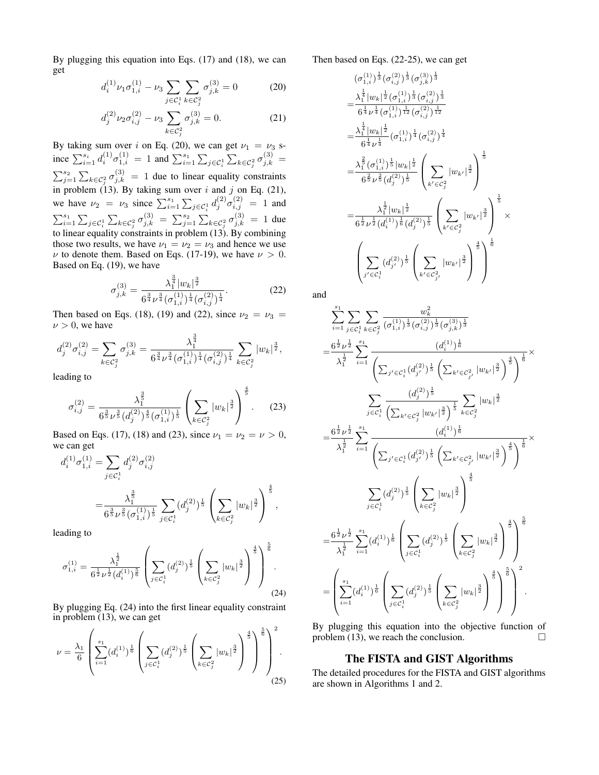By plugging this equation into Eqs. (17) and (18), we can get

$$
d_i^{(1)} \nu_1 \sigma_{1,i}^{(1)} - \nu_3 \sum_{j \in \mathcal{C}_i^1} \sum_{k \in \mathcal{C}_j^2} \sigma_{j,k}^{(3)} = 0 \tag{20}
$$

$$
d_j^{(2)} \nu_2 \sigma_{i,j}^{(2)} - \nu_3 \sum_{k \in \mathcal{C}_j^2} \sigma_{j,k}^{(3)} = 0.
$$
 (21)

By taking sum over i on Eq. (20), we can get  $\nu_1 = \nu_3$  since  $\sum_{i=1}^{s_i} d_i^{(1)} \sigma_{1,i}^{(1)} = 1$  and  $\sum_{i=1}^{s_1} \sum_{j \in \mathcal{C}_i^1} \sum_{k \in \mathcal{C}_i^2} \sigma_{j,k}^{(3)} =$  $\sum_{j=1}^{s_2} \sum_{k \in C_j^2} \sigma_{j,k}^{(3)} = 1$  due to linear equality constraints in problem (13). By taking sum over i and j on Eq. (21), we have  $\nu_2 = \nu_3$  since  $\sum_{i=1}^{s_1} \sum_{j \in C_i^1} d_j^{(2)} \sigma_{i,j}^{(2)} = 1$  and  $\sum_{i=1}^{s_1} \sum_{j \in C_i^1} \sum_{k \in C_j^2} \sigma_{j,k}^{(3)} = \sum_{j=1}^{s_2} \sum_{k \in C_j^2} \sigma_{j,k}^{(3)} = 1$  due to linear equality constraints in problem (13). By combining those two results, we have  $\nu_1 = \nu_2 = \nu_3$  and hence we use  $\nu$  to denote them. Based on Eqs. (17-19), we have  $\nu > 0$ . Based on Eq. (19), we have

$$
\sigma_{j,k}^{(3)} = \frac{\lambda_1^{\frac{3}{4}}|w_k|^{\frac{3}{2}}}{6^{\frac{3}{4}}\nu^{\frac{3}{4}}(\sigma_{1,i}^{(1)})^{\frac{1}{4}}(\sigma_{i,j}^{(2)})^{\frac{1}{4}}}.
$$
(22)

Then based on Eqs. (18), (19) and (22), since  $\nu_2 = \nu_3$  =  $\nu > 0$ , we have

$$
d_j^{(2)}\sigma_{i,j}^{(2)}=\sum_{k\in\mathcal{C}_j^2}\sigma_{j,k}^{(3)}=\frac{\lambda_1^{\frac{3}{4}}}{6^{\frac{3}{4}}\nu^{\frac{3}{4}}(\sigma_{1,i}^{(1)})^{\frac{1}{4}}(\sigma_{i,j}^{(2)})^{\frac{1}{4}}}\sum_{k\in\mathcal{C}_j^2}|w_k|^{\frac{3}{2}},
$$

leading to

$$
\sigma_{i,j}^{(2)} = \frac{\lambda_1^{\frac{3}{5}}}{6^{\frac{3}{5}}\nu^{\frac{3}{5}}(d_j^{(2)})^{\frac{4}{5}}(\sigma_{1,i}^{(1)})^{\frac{1}{5}}} \left(\sum_{k \in \mathcal{C}_j^2} |w_k|^{\frac{3}{2}}\right)^{\frac{4}{5}}.
$$
 (23)

Based on Eqs. (17), (18) and (23), since  $\nu_1 = \nu_2 = \nu > 0$ , we can get

$$
d_i^{(1)} \sigma_{1,i}^{(1)} = \sum_{j \in C_i^1} d_j^{(2)} \sigma_{i,j}^{(2)}
$$
  
= 
$$
\frac{\lambda_1^{\frac{3}{2}}}{6^{\frac{3}{5}} \nu^{\frac{3}{5}} (\sigma_{1,i}^{(1)})^{\frac{1}{5}}} \sum_{j \in C_i^1} (d_j^{(2)})^{\frac{1}{5}} \left( \sum_{k \in C_j^2} |w_k|^{\frac{3}{2}} \right)^{\frac{4}{5}},
$$

leading to

$$
\sigma_{1,i}^{(1)} = \frac{\lambda_1^{\frac{1}{2}}}{6^{\frac{1}{2}}\nu^{\frac{1}{2}}(d_i^{(1)})^{\frac{5}{6}}} \left( \sum_{j \in C_i^1} (d_j^{(2)})^{\frac{1}{5}} \left( \sum_{k \in C_j^2} |w_k|^{\frac{3}{2}} \right)^{\frac{4}{5}} \right)^{\frac{2}{6}}.
$$
\n(24)

By plugging Eq. (24) into the first linear equality constraint in problem (13), we can get

$$
\nu = \frac{\lambda_1}{6} \left( \sum_{i=1}^{s_1} (d_i^{(1)})^{\frac{1}{6}} \left( \sum_{j \in C_i^1} (d_j^{(2)})^{\frac{1}{5}} \left( \sum_{k \in C_j^2} |w_k|^{\frac{3}{2}} \right)^{\frac{4}{5}} \right)^{\frac{5}{6}} \right)^2.
$$
\n(25)

Then based on Eqs. (22-25), we can get

$$
(\sigma_{1,i}^{(1)})^{\frac{1}{3}}(\sigma_{i,j}^{(2)})^{\frac{1}{3}}(\sigma_{j,k}^{(3)})^{\frac{1}{3}}
$$
\n
$$
=\frac{\lambda_1^{\frac{1}{4}}|w_k|^{\frac{1}{2}}(\sigma_{1,i}^{(1)})^{\frac{1}{3}}(\sigma_{i,j}^{(2)})^{\frac{1}{3}}}{6^{\frac{1}{4}}\nu^{\frac{1}{4}}(\sigma_{1,i}^{(1)})^{\frac{1}{12}}(\sigma_{i,j}^{(2)})^{\frac{1}{12}}}
$$
\n
$$
=\frac{\lambda_1^{\frac{1}{4}}|w_k|^{\frac{1}{2}}}{6^{\frac{1}{4}}\nu^{\frac{1}{4}}}(\sigma_{1,i}^{(1)})^{\frac{1}{4}}(\sigma_{i,j}^{(2)})^{\frac{1}{4}}
$$
\n
$$
=\frac{\lambda_1^{\frac{2}{5}}(\sigma_{1,i}^{(1)})^{\frac{1}{5}}|w_k|^{\frac{1}{2}}}{6^{\frac{2}{5}}\nu^{\frac{2}{5}}(d_j^{(2)})^{\frac{1}{5}}}\left(\sum_{k' \in C_j^2} |w_{k'}|^{\frac{3}{2}}\right)^{\frac{1}{5}}
$$
\n
$$
=\frac{\lambda_1^{\frac{1}{2}}|w_k|^{\frac{1}{2}}}{6^{\frac{1}{2}}\nu^{\frac{1}{2}}(d_i^{(1)})^{\frac{1}{6}}(d_j^{(2)})^{\frac{1}{5}}}\left(\sum_{k' \in C_j^2} |w_{k'}|^{\frac{3}{2}}\right)^{\frac{1}{5}} \times
$$
\n
$$
\left(\sum_{j' \in C_i^1} (d_{j'}^{(2)})^{\frac{1}{5}}\left(\sum_{k' \in C_{j'}^2} |w_{k'}|^{\frac{3}{2}}\right)^{\frac{4}{5}}\right)^{\frac{1}{6}}
$$

and

5

$$
\sum_{i=1}^{s_1} \sum_{j \in \mathcal{C}_i^1} \sum_{k \in \mathcal{C}_j^2} \frac{w_k^2}{(\sigma_{1,i}^{(1)})^{\frac{1}{3}} (\sigma_{i,j}^{(2)})^{\frac{1}{3}} (\sigma_{j,k}^{(3)})^{\frac{1}{3}}}
$$
\n
$$
= \frac{6^{\frac{1}{2}} \nu^{\frac{1}{2}}}{\lambda_1^{\frac{1}{2}}} \sum_{i=1}^{s_1} \frac{(d_i^{(1)})^{\frac{1}{6}}}{\left(\sum_{j' \in \mathcal{C}_i^1} (d_{j'}^{(2)})^{\frac{1}{5}} (\sum_{k' \in \mathcal{C}_{j'}^2} |w_{k'}|^{\frac{3}{2}})^{\frac{3}{5}}\right)^{\frac{4}{5}}} \times \sum_{j \in \mathcal{C}_i^1} \frac{(d_j^{(2)})^{\frac{1}{5}}}{\left(\sum_{k' \in \mathcal{C}_j^2} |w_{k'}|^{\frac{3}{2}}\right)^{\frac{1}{5}}} \sum_{k \in \mathcal{C}_j^2} |w_k|^{\frac{3}{2}}
$$
\n
$$
= \frac{6^{\frac{1}{2}} \nu^{\frac{1}{2}}}{\lambda_1^{\frac{1}{2}}} \sum_{i=1}^{s_1} \frac{(d_i^{(2)})^{\frac{1}{5}}}{\left(\sum_{j' \in \mathcal{C}_i^1} (d_{j'}^{(2)})^{\frac{1}{5}} (\sum_{k' \in \mathcal{C}_{j'}^2} |w_{k'}|^{\frac{3}{2}})^{\frac{1}{5}}\right)^{\frac{1}{5}}} \times \sum_{j \in \mathcal{C}_i^1} (d_j^{(2)})^{\frac{1}{5}} \left(\sum_{k \in \mathcal{C}_j^2} |w_k|^{\frac{3}{2}}\right)^{\frac{4}{5}}
$$
\n
$$
= \frac{6^{\frac{1}{2}} \nu^{\frac{1}{2}}}{\lambda_1^{\frac{1}{2}}} \sum_{i=1}^{s_1} (d_i^{(1)})^{\frac{1}{6}} \left(\sum_{j \in \mathcal{C}_i^1} (d_j^{(2)})^{\frac{1}{5}} \left(\sum_{k \in \mathcal{C}_j^2} |w_k|^{\frac{3}{2}}\right)^{\frac{4}{5}}\right)^{\frac{5}{6}}
$$
\

By plugging this equation into the objective function of problem (13), we reach the conclusion.  $\Box$ 

## The FISTA and GIST Algorithms

The detailed procedures for the FISTA and GIST algorithms are shown in Algorithms 1 and 2.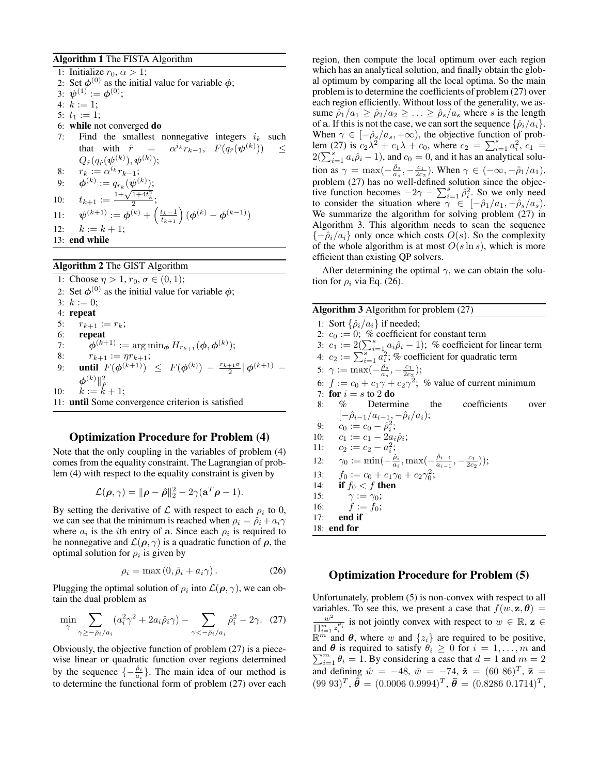#### Algorithm 1 The FISTA Algorithm

1: Initialize  $r_0, \alpha > 1$ ; 2: Set  $\phi^{(0)}$  as the initial value for variable  $\phi$ ; 3:  $\boldsymbol{\psi}^{(1)} := \boldsymbol{\phi}^{(0)};$ 4:  $k := 1$ ; 5:  $t_1 := 1$ ; 6: while not converged do 7: Find the smallest nonnegative integers  $i_k$  such that with  $\hat{r}$  =  $e^{i_k} r_{k-1}, F(q_{\hat{r}}(\boldsymbol{\psi}^{(k)})) \leq$  $Q_{\hat{r}}(q_{\hat{r}}(\boldsymbol{\psi}^{(k)}), \boldsymbol{\psi}^{(k)});$ 8:  $r_k := \alpha^{i_k} r_{k-1};$ 9:  $\phi^{(k)} := q_{r_k}(\psi^{(k)});$ 9:  $\varphi^{\alpha} := q_{r_k}(\varphi^{\alpha})$ ;<br>
10:  $t_{k+1} := \frac{1 + \sqrt{1 + 4t_k^2}}{2}$ ; 11:  $\psi^{(k+1)} := \phi^{(k)} + \left(\frac{t_k-1}{t_{k+1}}\right) (\phi^{(k)} - \phi^{(k-1)})$ 12:  $k := k + 1;$ 13: end while

## Algorithm 2 The GIST Algorithm

1: Choose  $\eta > 1, r_0, \sigma \in (0, 1);$ 2: Set  $\phi^{(0)}$  as the initial value for variable  $\phi$ ; 3:  $k := 0$ ; 4: repeat 5:  $r_{k+1} := r_k;$ 6: repeat 7:  $\hat{\phi}^{(k+1)} := \arg \min_{\phi} H_{r_{k+1}}(\phi, \phi^{(k)});$ 8:  $r_{k+1} := \eta r_{k+1};$ 9: **until**  $F(\phi^{(k+1)}) \leq F(\phi^{(k)}) - \frac{r_{k+1}\sigma}{2} ||\phi^{(k+1)} \phi^{(k)} \|_{F}^{2}$ 10:  $k := k + 1;$ 11: until Some convergence criterion is satisfied

#### Optimization Procedure for Problem (4)

Note that the only coupling in the variables of problem (4) comes from the equality constraint. The Lagrangian of problem (4) with respect to the equality constraint is given by

$$
\mathcal{L}(\boldsymbol{\rho}, \gamma) = ||\boldsymbol{\rho} - \boldsymbol{\hat{\rho}}||_2^2 - 2\gamma(\mathbf{a}^T\boldsymbol{\rho} - 1).
$$

By setting the derivative of  $\mathcal L$  with respect to each  $\rho_i$  to 0, we can see that the minimum is reached when  $\rho_i = \hat{\rho}_i + a_i \gamma$ where  $a_i$  is the *i*th entry of a. Since each  $\rho_i$  is required to be nonnegative and  $\mathcal{L}(\rho, \gamma)$  is a quadratic function of  $\rho$ , the optimal solution for  $\rho_i$  is given by

$$
\rho_i = \max(0, \hat{\rho}_i + a_i \gamma). \tag{26}
$$

Plugging the optimal solution of  $\rho_i$  into  $\mathcal{L}(\rho, \gamma)$ , we can obtain the dual problem as

$$
\min_{\gamma} \sum_{\gamma \ge -\hat{\rho}_i/a_i} (a_i^2 \gamma^2 + 2a_i \hat{\rho}_i \gamma) - \sum_{\gamma \le -\hat{\rho}_i/a_i} \hat{\rho}_i^2 - 2\gamma. \tag{27}
$$

Obviously, the objective function of problem (27) is a piecewise linear or quadratic function over regions determined by the sequence  $\{-\frac{\hat{\rho}_i}{a_i}\}$ . The main idea of our method is to determine the functional form of problem (27) over each

region, then compute the local optimum over each region which has an analytical solution, and finally obtain the global optimum by comparing all the local optima. So the main problem is to determine the coefficients of problem (27) over each region efficiently. Without loss of the generality, we assume  $\hat{\rho}_1/a_1 \geq \hat{\rho}_2/a_2 \geq \ldots \geq \hat{\rho}_s/a_s$  where s is the length of a. If this is not the case, we can sort the sequence  $\{\hat{\rho}_i/a_i\}$ . When  $\gamma \in [-\hat{\rho}_s/a_s, +\infty)$ , the objective function of problem (27) is  $c_2 \lambda^2 + c_1 \lambda + c_0$ , where  $c_2 = \sum_{i=1}^s a_i^2$ ,  $c_1 =$  $2(\sum_{i=1}^s a_i \hat{\rho}_i - 1)$ , and  $c_0 = 0$ , and it has an analytical solution as  $\gamma = \max(-\frac{\hat{\rho}_s}{a_s}, -\frac{c_1}{2c_2})$ . When  $\gamma \in (-\infty, -\hat{\rho}_1/a_1)$ , problem (27) has no well-defined solution since the objective function becomes  $-2\gamma - \sum_{i=1}^{s} \hat{\rho}_i^2$ . So we only need to consider the situation where  $\gamma \in [-\hat{\rho}_1/a_1, -\hat{\rho}_s/a_s]$ . We summarize the algorithm for solving problem (27) in Algorithm 3. This algorithm needs to scan the sequence  ${-\hat{\rho}_i/a_i}$  only once which costs  $O(s)$ . So the complexity of the whole algorithm is at most  $O(s \ln s)$ , which is more efficient than existing QP solvers.

After determining the optimal  $\gamma$ , we can obtain the solution for  $\rho_i$  via Eq. (26).

| <b>Algorithm 3</b> Algorithm for problem $(27)$                                                                   |
|-------------------------------------------------------------------------------------------------------------------|
| 1: Sort $\{\hat{\rho}_i/a_i\}$ if needed;                                                                         |
| 2: $c_0 := 0$ ; % coefficient for constant term                                                                   |
| 3: $c_1 := 2(\sum_{i=1}^s a_i \hat{\rho}_i - 1)$ ; % coefficient for linear term                                  |
| 4: $c_2 := \sum_{i=1}^s a_i^2$ ; % coefficient for quadratic term                                                 |
| 5: $\gamma := \max(-\frac{\hat{\rho}_s}{a_s}, -\frac{c_1}{2c_2});$                                                |
| 6: $f := c_0 + c_1 \gamma + c_2 \gamma^2$ ; % value of current minimum                                            |
| 7: for $i = s$ to 2 do                                                                                            |
| $\%$ Determine<br>the coefficients<br>8:<br>over                                                                  |
| $[-\hat{\rho}_{i-1}/a_{i-1}, -\hat{\rho}_{i}/a_{i});$                                                             |
| $c_0 := c_0 - \hat{\rho}_i^2;$<br>9:                                                                              |
| 10: $c_1 := c_1 - 2a_i \hat{\rho}_i$ ;                                                                            |
| $c_2 := c_2 - a_i^2;$<br>11:                                                                                      |
| $\gamma_0 := \min(-\frac{\hat{\rho}_i}{a_i}, \max(-\frac{\hat{\rho}_{i-1}}{a_{i-1}}, -\frac{c_1}{2c_2}));$<br>12: |
| $f_0 := c_0 + c_1 \gamma_0 + c_2 \gamma_0^2;$<br>13:                                                              |
| if $f_0 < f$ then<br>14:                                                                                          |
| 15:<br>$\gamma := \gamma_0$ ;                                                                                     |
| $f := f_0$ :<br>16:                                                                                               |
| end if<br>17:                                                                                                     |
| $18:$ end for                                                                                                     |
|                                                                                                                   |

### Optimization Procedure for Problem (5)

Unfortunately, problem (5) is non-convex with respect to all variables. To see this, we present a case that  $f(w, z, \theta) =$  $w^2$  $\frac{w^2}{\prod_{i=1}^m z_i^{q_i}}$  is not jointly convex with respect to  $w \in \mathbb{R}$ ,  $z \in$  $\mathbb{R}^m$  and  $\theta$ , where w and  $\{z_i\}$  are required to be positive, and  $\theta$  is required to satisfy  $\theta_i \geq 0$  for  $i = 1, \ldots, m$  and  $\sum_{i=1}^{m} \theta_i = 1$ . By considering a case that  $d = 1$  and  $m = 2$ and defining  $\hat{w} = -48$ ,  $\bar{w} = -74$ ,  $\hat{z} = (60 \ 86)^T$ ,  $\bar{z} =$  $(99\ 93)^T$ ,  $\hat{\theta} = (0.0006\ 0.9994)^T$ ,  $\bar{\theta} = (0.8286\ 0.1714)^T$ ,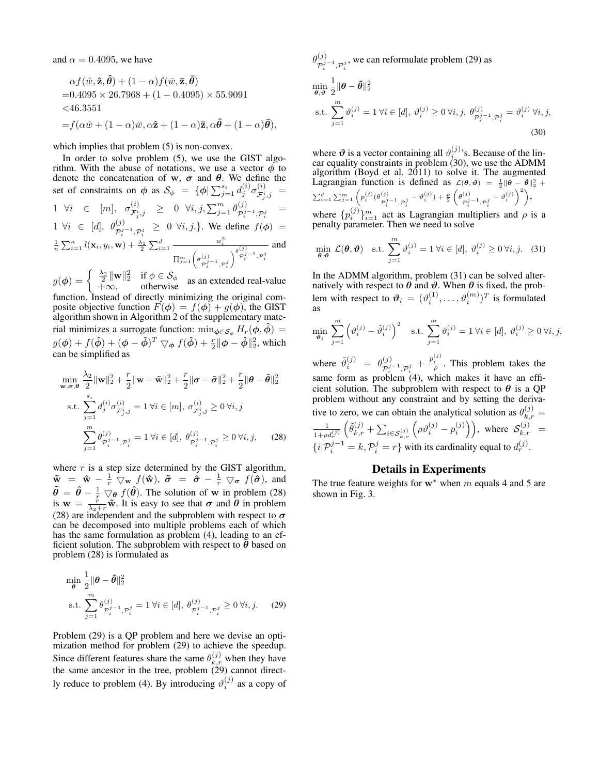and  $\alpha = 0.4095$ , we have

$$
\alpha f(\hat{w}, \hat{\mathbf{z}}, \hat{\boldsymbol{\theta}}) + (1 - \alpha) f(\bar{w}, \bar{\mathbf{z}}, \bar{\boldsymbol{\theta}})
$$
  
= 0.4095 × 26.7968 + (1 – 0.4095) × 55.9091  
<46.3551  
=  $f(\alpha \hat{w} + (1 - \alpha)\bar{w}, \alpha \hat{\mathbf{z}} + (1 - \alpha)\bar{\mathbf{z}}, \alpha \hat{\boldsymbol{\theta}} + (1 - \alpha)\bar{\boldsymbol{\theta}}),$ 

which implies that problem  $(5)$  is non-convex.

In order to solve problem (5), we use the GIST algorithm. With the abuse of notations, we use a vector  $\phi$  to denote the concatenation of w,  $\sigma$  and  $\theta$ . We define the set of constraints on  $\phi$  as  $\mathcal{S}_{\phi} = {\phi | \sum_{j=1}^{s_i} d_j^{(i)} \sigma_{\mathcal{F}_{\dot{x}}^i}^{(i)}}$  $\overset{(i)}{\mathcal{F}^{i}_{j},j} =$ 1  $\forall i \in [m], \sigma_{\tau i}^{(i)}$  $\begin{array}{rcl} \bar{f}_{j}^{(i)}\ \bar{f}_{j}^{(i)},j} & \geq & 0 \ \ \forall i,j,\sum_{j=1}^{m}{\theta}_{\mathcal{P}_{i}^{j}}^{(j)} \end{array}$  $\mathcal{P}_i^{j-1}, \mathcal{P}_i^j$  =  $1 \ \forall i \in [d], \ \theta_{\mathcal{P}_i^{j-1}, \mathcal{P}_i^{j}}^{(j)} \geq 0 \ \forall i, j.$ }. We define  $f(\phi) =$  $\frac{1}{n}\sum_{i=1}^n l(\mathbf{x}_i,y_i,\mathbf{w}) + \frac{\lambda_1}{2}\sum_{i=1}^d \frac{w_i^2}{\sigma_i^2}$  $\prod_{j=1}^m \left( \sigma^{(j)}_{\mathcal{D}^j} \right)$  $\mathcal{P}_i^{j-1}, \mathcal{P}_i^j$  $\bigvee_{j=1}^{\theta(j)}$  $\mathcal{P}_i^{j-1}, \mathcal{P}_i^j$ and

 $g(\boldsymbol{\phi}) = \begin{cases} \frac{\lambda_2}{2} \|\mathbf{w}\|_2^2 & \text{if } \boldsymbol{\phi} \in \mathcal{S}_{\phi} \\ +\infty, & \text{otherwise} \end{cases}$  as an extended real-value function. Instead of directly minimizing the original composite objective function  $F(\phi) = f(\phi) + g(\phi)$ , the GIST algorithm shown in Algorithm 2 of the supplementary material minimizes a surrogate function:  $\min_{\phi \in S_{\phi}} H_r(\phi, \hat{\phi}) =$  $g(\bm{\phi}) + f(\bm{\hat{\phi}}) + (\bm{\phi} - \bm{\hat{\phi}})^T \bigtriangledown_{\bm{\phi}} f(\bm{\hat{\phi}}) + \frac{r}{2} \|\bm{\phi} - \bm{\hat{\phi}}\|_2^2$ , which can be simplified as

$$
\min_{\mathbf{w}, \sigma, \theta} \frac{\lambda_2}{2} \|\mathbf{w}\|_2^2 + \frac{r}{2} \|\mathbf{w} - \tilde{\mathbf{w}}\|_2^2 + \frac{r}{2} \|\sigma - \tilde{\sigma}\|_2^2 + \frac{r}{2} \|\theta - \tilde{\theta}\|_2^2
$$
\n
$$
\text{s.t. } \sum_{j=1}^{s_i} d_j^{(i)} \sigma_{\mathcal{F}_{j}^i, j}^{(i)} = 1 \,\forall i \in [m], \,\sigma_{\mathcal{F}_{j}^i, j}^{(i)} \ge 0 \,\forall i, j
$$
\n
$$
\sum_{j=1}^{m} \theta_{\mathcal{P}_{i}^j-1, \mathcal{P}_{i}^j}^{(j)} = 1 \,\forall i \in [d], \,\theta_{\mathcal{P}_{i}^j-1, \mathcal{P}_{i}^j}^{(j)} \ge 0 \,\forall i, j, \tag{28}
$$

where  $r$  is a step size determined by the GIST algorithm,  $\tilde{\mathbf{w}} = \hat{\mathbf{w}} - \frac{1}{r} \nabla_{\mathbf{w}} f(\hat{\mathbf{w}}), \ \tilde{\boldsymbol{\sigma}} = \hat{\boldsymbol{\sigma}} - \frac{1}{r} \nabla_{\boldsymbol{\sigma}} f(\hat{\boldsymbol{\sigma}}),$  and  $\tilde{\theta} = \hat{\theta} - \frac{1}{r} \nabla_{\theta} f(\hat{\theta})$ . The solution of w in problem (28) is  $w = \frac{h}{\lambda_2 + r} \tilde{w}$ . It is easy to see that  $\sigma$  and  $\theta$  in problem (28) are independent and the subproblem with respect to  $\sigma$ can be decomposed into multiple problems each of which has the same formulation as problem (4), leading to an efficient solution. The subproblem with respect to  $\bar{\theta}$  based on problem (28) is formulated as

$$
\min_{\theta} \frac{1}{2} ||\theta - \tilde{\theta}||_2^2
$$
  
s.t. 
$$
\sum_{j=1}^m \theta_{p_i^{j-1}, p_i^j}^{(j)} = 1 \,\forall i \in [d], \,\theta_{p_i^{j-1}, p_i^j}^{(j)} \ge 0 \,\forall i, j. \tag{29}
$$

Problem (29) is a QP problem and here we devise an optimization method for problem (29) to achieve the speedup. Since different features share the same  $\theta_{k,r}^{(j)}$  when they have the same ancestor in the tree, problem  $(29)$  cannot directly reduce to problem (4). By introducing  $\vartheta_i^{(j)}$  as a copy of  $\theta_{\boldsymbol{\tau}^j}^{(j)}$  $\mathcal{P}_{i}^{j-1}, \mathcal{P}_{i}^{j}$ , we can reformulate problem (29) as i i  $\min_{\theta, \vartheta}$ 1  $\frac{1}{2} \|\boldsymbol{\theta} - \tilde{\boldsymbol{\theta}}\|_2^2$ s.t.  $\sum_{n=1}^{m}$  $j=1$  $\vartheta_i^{(j)} = 1 \ \forall i \in [d], \ \vartheta_i^{(j)} \geq 0 \ \forall i, j, \ \theta_{\mathcal{P}_i^{j-1}, \mathcal{P}_i^{j}}^{(j)} = \vartheta_i^{(j)} \ \forall i, j,$ 

where  $\vartheta$  is a vector containing all  $\vartheta_i^{(j)}$ 's. Because of the linear equality constraints in problem (30), we use the ADMM algorithm (Boyd et al. 2011) to solve it. The augmented Lagrangian function is defined as  $\mathcal{L}(\theta, \vartheta) = \frac{1}{2} || \theta - \tilde{\theta} ||_2^2 +$  $\sum_{i=1}^d \sum_{j=1}^m \left( p_i^{(j)} (\theta_{\tau j}^{(j)})$  $\frac{\varphi_i^{(j)}-1}{\varphi_i^j}-\vartheta_i^{(j)})+\frac{\rho}{2}\left(\theta_{\mathcal{P}_i^j}^{(j)}\right)$  $\left( \begin{matrix} (j) \ \mathcal{P}_i^{j-1}, \mathcal{P}_i^{j} \end{matrix} - \vartheta_i^{(j)} \right)^2$ 

(30)

where  $\{p_i^{(j)}\}_{i=1}^m$  act as Lagrangian multipliers and  $\rho$  is a penalty parameter. Then we need to solve

$$
\min_{\theta,\vartheta} \mathcal{L}(\theta,\vartheta) \quad \text{s.t.} \ \sum_{j=1}^{m} \vartheta_i^{(j)} = 1 \ \forall i \in [d], \ \vartheta_i^{(j)} \ge 0 \ \forall i,j. \tag{31}
$$

In the ADMM algorithm, problem (31) can be solved alternatively with respect to  $\theta$  and  $\vartheta$ . When  $\theta$  is fixed, the problem with respect to  $\boldsymbol{\vartheta}_i = (\vartheta_i^{(1)}, \dots, \vartheta_i^{(m)})^T$  is formulated as

$$
\min_{\vartheta_i} \sum_{j=1}^m \left( \vartheta_i^{(j)} - \tilde{\vartheta}_i^{(j)} \right)^2 \quad \text{s.t.} \sum_{j=1}^m \vartheta_i^{(j)} = 1 \,\forall i \in [d], \,\vartheta_i^{(j)} \ge 0 \,\forall i, j,
$$

where  $\tilde{\vartheta}_i^{(j)} = \theta_{\mathcal{P}^j}^{(j)}$  $\frac{(j)}{\mathcal{P}_i^{j-1}, \mathcal{P}_i^j}$  +  $\frac{p_i^{(j)}}{\rho}$ . This problem takes the same form as problem  $(4)$ , which makes it have an efficient solution. The subproblem with respect to  $\theta$  is a QP problem without any constraint and by setting the derivative to zero, we can obtain the analytical solution as  $\theta_{k,r}^{(j)} =$  $\frac{1}{1+\rho d_r^{(j)}}$  $(\tilde{\theta}_{k,r}^{(j)} + \sum_{i \in \mathcal{S}_{k,r}^{(j)}} \left( \rho \theta_i^{(j)} - p_i^{(j)} \right)$ , where  $\mathcal{S}_{k,r}^{(j)} =$  $\{i|\mathcal{P}_i^{j-1} = k, \mathcal{P}_i^j = r\}$  with its cardinality equal to  $d_r^{(j)}$ .

## Details in Experiments

The true feature weights for  $w^*$  when m equals 4 and 5 are shown in Fig. 3.